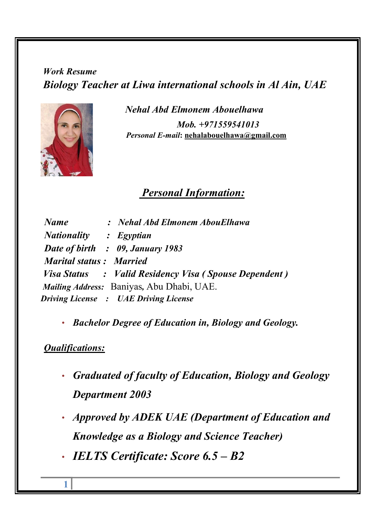Work Resume Biology Teacher at Liwa international schools in Al Ain, UAE



 Nehal Abd Elmonem Abouelhawa Mob. +971559541013 Personal E-mail: nehalabouelhawa@gmail.com

## Personal Information:

| <b>Name</b>                    | : Nehal Abd Elmonem AbouElhawa                        |
|--------------------------------|-------------------------------------------------------|
| Nationality : Egyptian         |                                                       |
|                                | Date of birth : 09, January 1983                      |
| <b>Marital status: Married</b> |                                                       |
|                                | Visa Status : Valid Residency Visa (Spouse Dependent) |
|                                | Mailing Address: Baniyas, Abu Dhabi, UAE.             |
|                                | <b>Driving License : UAE Driving License</b>          |

• Bachelor Degree of Education in, Biology and Geology.

## Qualifications:

- Graduated of faculty of Education, Biology and Geology Department 2003
- Approved by ADEK UAE (Department of Education and Knowledge as a Biology and Science Teacher)
- IELTS Certificate: Score 6.5 B2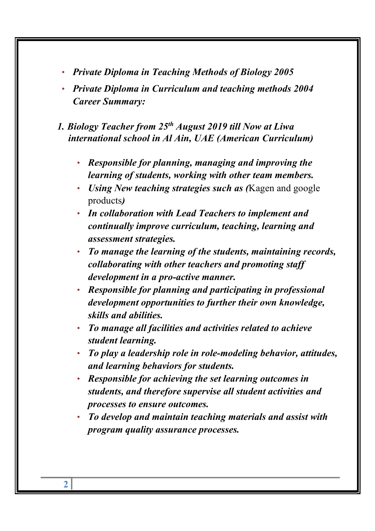- Private Diploma in Teaching Methods of Biology 2005
- Private Diploma in Curriculum and teaching methods 2004 Career Summary:
- 1. Biology Teacher from  $25<sup>th</sup>$  August 2019 till Now at Liwa international school in Al Ain, UAE (American Curriculum)
	- Responsible for planning, managing and improving the learning of students, working with other team members.
	- Using New teaching strategies such as (Kagen and google products)
	- In collaboration with Lead Teachers to implement and continually improve curriculum, teaching, learning and assessment strategies.
	- To manage the learning of the students, maintaining records, collaborating with other teachers and promoting staff development in a pro-active manner.
	- Responsible for planning and participating in professional development opportunities to further their own knowledge, skills and abilities.
	- To manage all facilities and activities related to achieve student learning.
	- To play a leadership role in role-modeling behavior, attitudes, and learning behaviors for students.
	- Responsible for achieving the set learning outcomes in students, and therefore supervise all student activities and processes to ensure outcomes.
	- To develop and maintain teaching materials and assist with program quality assurance processes.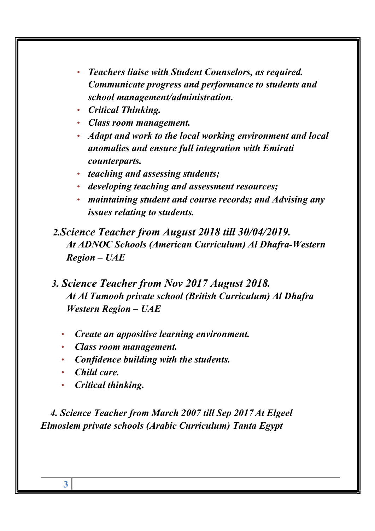- Teachers liaise with Student Counselors, as required. Communicate progress and performance to students and school management/administration.
- Critical Thinking.
- Class room management.
- Adapt and work to the local working environment and local anomalies and ensure full integration with Emirati counterparts.
- teaching and assessing students;
- developing teaching and assessment resources;
- maintaining student and course records; and Advising any issues relating to students.

 2.Science Teacher from August 2018 till 30/04/2019. At ADNOC Schools (American Curriculum) Al Dhafra-Western Region – UAE

- 3. Science Teacher from Nov 2017 August 2018. At Al Tumooh private school (British Curriculum) Al Dhafra Western Region – UAE
	- Create an appositive learning environment.
	- Class room management.
	- Confidence building with the students.
	- Child care.
	- Critical thinking.

 4. Science Teacher from March 2007 till Sep 2017At Elgeel Elmoslem private schools (Arabic Curriculum) Tanta Egypt